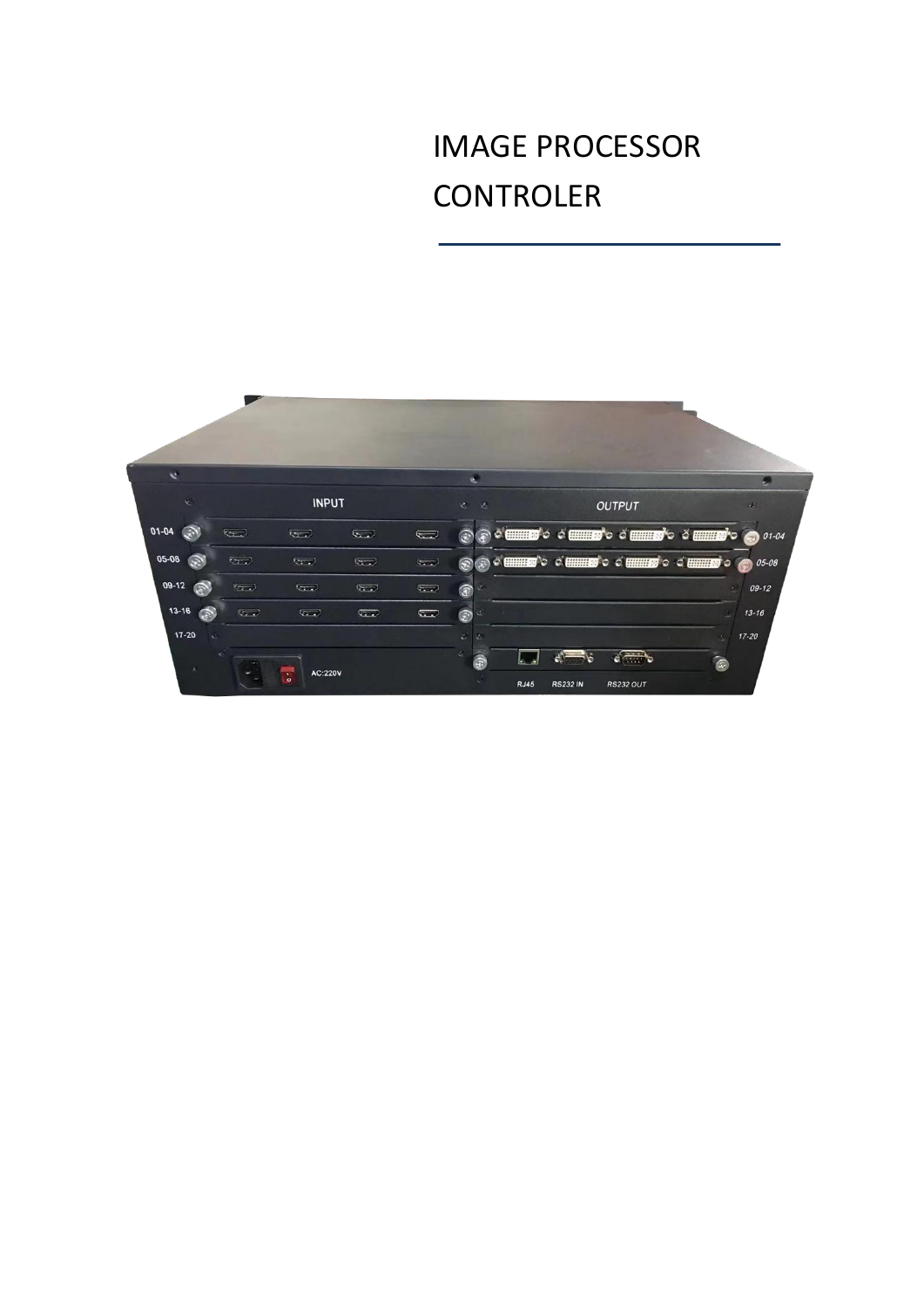# IMAGE PROCESSOR **CONTROLER**

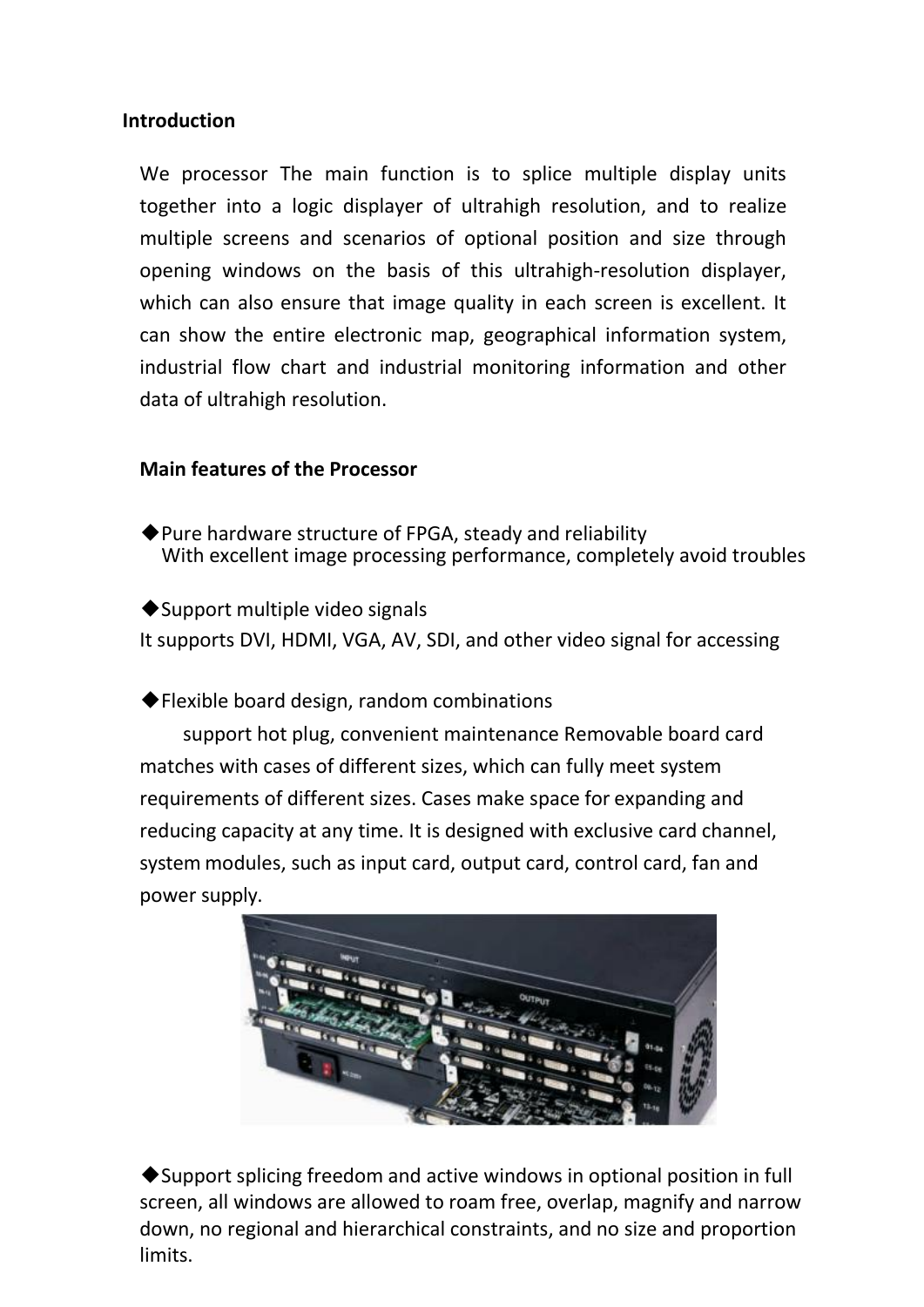### **Introduction**

We processor The main function is to splice multiple display units together into a logic displayer of ultrahigh resolution, and to realize multiple screens and scenarios of optional position and size through opening windows on the basis of this ultrahigh‐resolution displayer, which can also ensure that image quality in each screen is excellent. It can show the entire electronic map, geographical information system, industrial flow chart and industrial monitoring information and other data of ultrahigh resolution.

### **Main features of the Processor**

- ◆Pure hardware structure of FPGA, steady and reliability With excellent image processing performance, completely avoid troubles
- ◆ Support multiple video signals
- It supports DVI, HDMI, VGA, AV, SDI, and other video signal for accessing
- ◆Flexible board design, random combinations

support hot plug, convenient maintenance Removable board card matches with cases of different sizes, which can fully meet system requirements of different sizes. Cases make space for expanding and reducing capacity at any time. It is designed with exclusive card channel, system modules, such as input card, output card, control card, fan and power supply.



◆Support splicing freedom and active windows in optional position in full screen, all windows are allowed to roam free, overlap, magnify and narrow down, no regional and hierarchical constraints, and no size and proportion limits.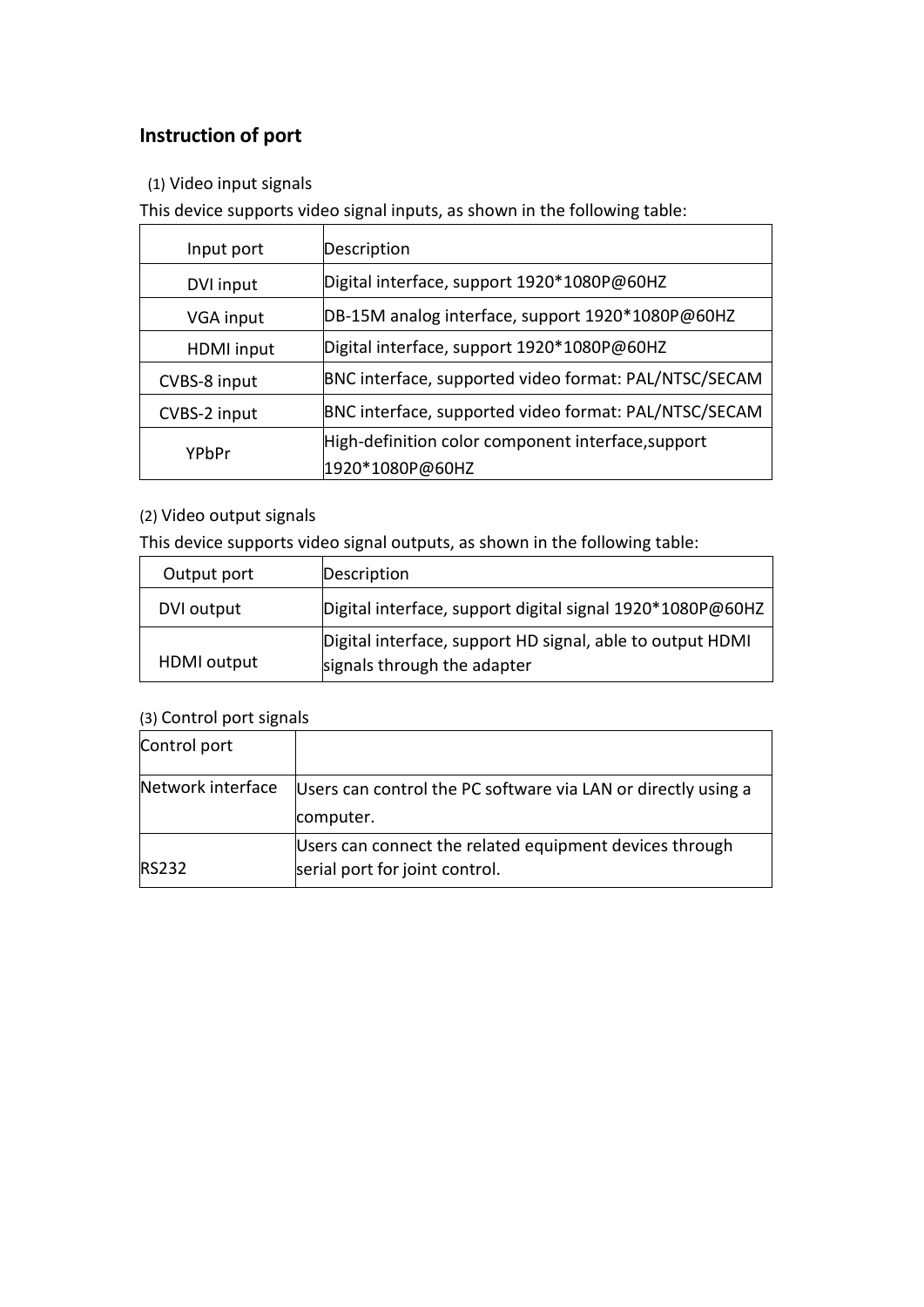## **Instruction of port**

(1) Video input signals

This device supports video signal inputs, as shown in the following table:

| Input port        | Description                                           |  |  |  |
|-------------------|-------------------------------------------------------|--|--|--|
| DVI input         | Digital interface, support 1920*1080P@60HZ            |  |  |  |
| VGA input         | DB-15M analog interface, support 1920*1080P@60HZ      |  |  |  |
| <b>HDMI</b> input | Digital interface, support 1920*1080P@60HZ            |  |  |  |
| CVBS-8 input      | BNC interface, supported video format: PAL/NTSC/SECAM |  |  |  |
| CVBS-2 input      | BNC interface, supported video format: PAL/NTSC/SECAM |  |  |  |
| YPbPr             | High-definition color component interface, support    |  |  |  |
|                   | 1920*1080P@60HZ                                       |  |  |  |

(2) Video output signals

This device supports video signal outputs, as shown in the following table:

| Output port        | Description                                                                              |  |  |  |
|--------------------|------------------------------------------------------------------------------------------|--|--|--|
| DVI output         | Digital interface, support digital signal 1920*1080P@60HZ                                |  |  |  |
| <b>HDMI</b> output | Digital interface, support HD signal, able to output HDMI<br>signals through the adapter |  |  |  |

(3) Control port signals

| Control port      |                                                                                           |
|-------------------|-------------------------------------------------------------------------------------------|
| Network interface | Users can control the PC software via LAN or directly using a<br>computer.                |
| <b>RS232</b>      | Users can connect the related equipment devices through<br>serial port for joint control. |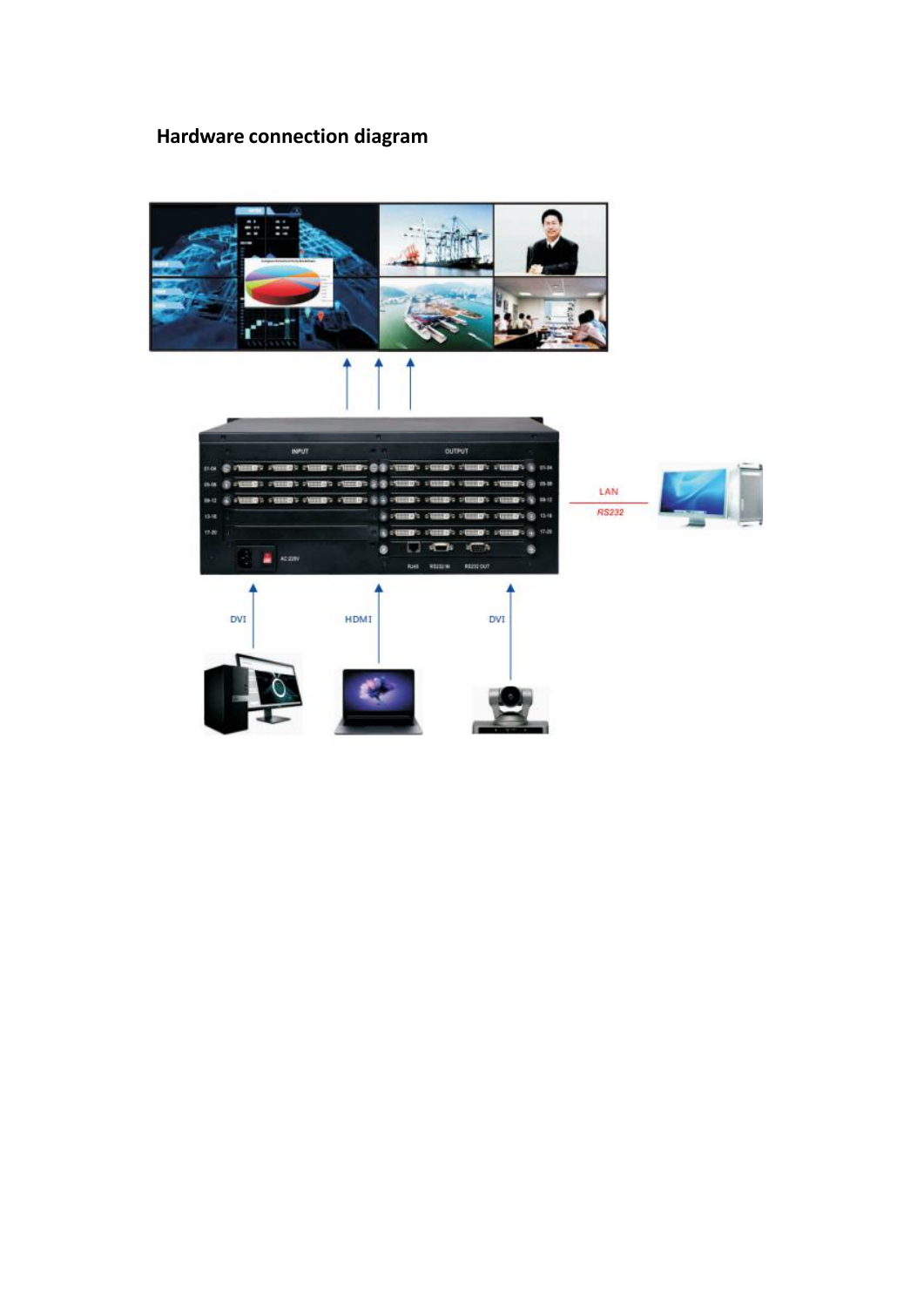## **Hardware connection diagram**